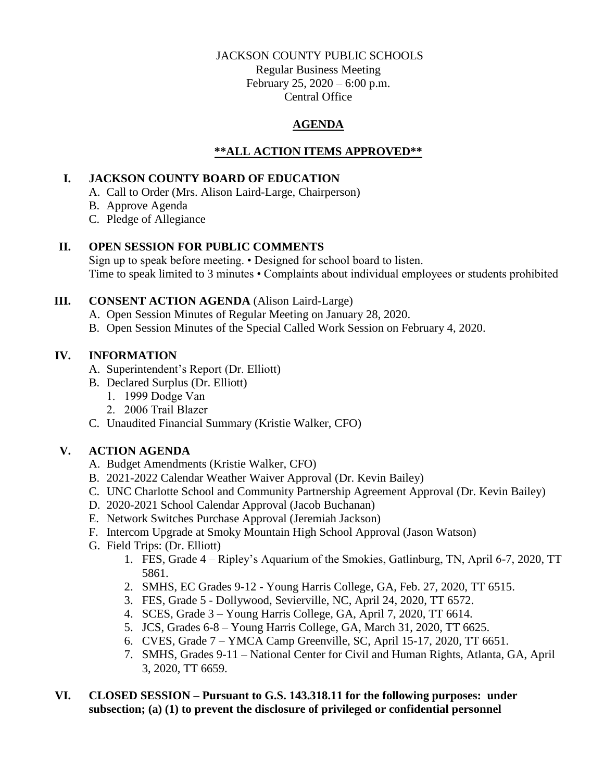#### JACKSON COUNTY PUBLIC SCHOOLS

Regular Business Meeting February 25, 2020 – 6:00 p.m. Central Office

# **AGENDA**

# **\*\*ALL ACTION ITEMS APPROVED\*\***

### **I. JACKSON COUNTY BOARD OF EDUCATION**

- A. Call to Order (Mrs. Alison Laird-Large, Chairperson)
- B. Approve Agenda
- C. Pledge of Allegiance

## **II. OPEN SESSION FOR PUBLIC COMMENTS**

Sign up to speak before meeting. • Designed for school board to listen. Time to speak limited to 3 minutes • Complaints about individual employees or students prohibited

## **III. CONSENT ACTION AGENDA** (Alison Laird-Large)

- A. Open Session Minutes of Regular Meeting on January 28, 2020.
- B. Open Session Minutes of the Special Called Work Session on February 4, 2020.

# **IV. INFORMATION**

- A. Superintendent's Report (Dr. Elliott)
- B. Declared Surplus (Dr. Elliott)
	- 1. 1999 Dodge Van
	- 2. 2006 Trail Blazer
- C. Unaudited Financial Summary (Kristie Walker, CFO)

# **V. ACTION AGENDA**

- A. Budget Amendments (Kristie Walker, CFO)
- B. 2021-2022 Calendar Weather Waiver Approval (Dr. Kevin Bailey)
- C. UNC Charlotte School and Community Partnership Agreement Approval (Dr. Kevin Bailey)
- D. 2020-2021 School Calendar Approval (Jacob Buchanan)
- E. Network Switches Purchase Approval (Jeremiah Jackson)
- F. Intercom Upgrade at Smoky Mountain High School Approval (Jason Watson)
- G. Field Trips: (Dr. Elliott)
	- 1. FES, Grade 4 Ripley's Aquarium of the Smokies, Gatlinburg, TN, April 6-7, 2020, TT 5861.
	- 2. SMHS, EC Grades 9-12 Young Harris College, GA, Feb. 27, 2020, TT 6515.
	- 3. FES, Grade 5 Dollywood, Sevierville, NC, April 24, 2020, TT 6572.
	- 4. SCES, Grade 3 Young Harris College, GA, April 7, 2020, TT 6614.
	- 5. JCS, Grades 6-8 Young Harris College, GA, March 31, 2020, TT 6625.
	- 6. CVES, Grade 7 YMCA Camp Greenville, SC, April 15-17, 2020, TT 6651.
	- 7. SMHS, Grades 9-11 National Center for Civil and Human Rights, Atlanta, GA, April 3, 2020, TT 6659.

### **VI. CLOSED SESSION – Pursuant to G.S. 143.318.11 for the following purposes: under subsection; (a) (1) to prevent the disclosure of privileged or confidential personnel**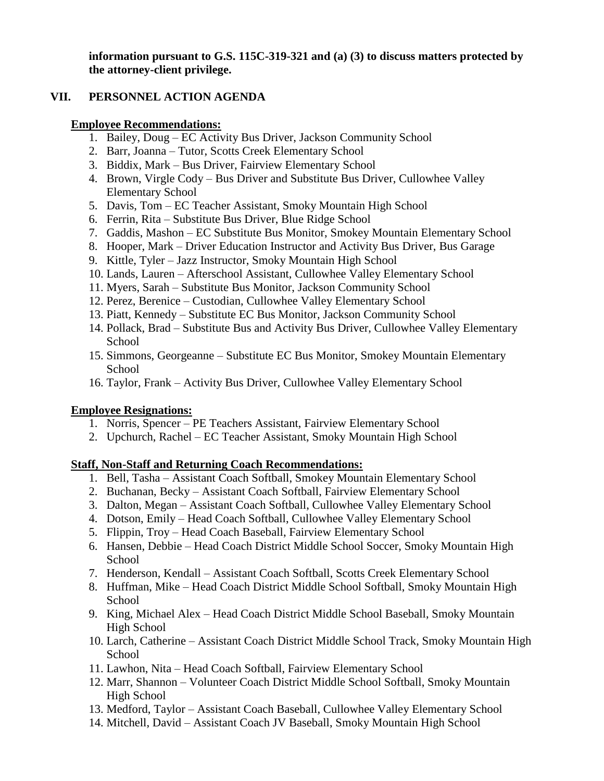**information pursuant to G.S. 115C-319-321 and (a) (3) to discuss matters protected by the attorney-client privilege.**

### **VII. PERSONNEL ACTION AGENDA**

#### **Employee Recommendations:**

- 1. Bailey, Doug EC Activity Bus Driver, Jackson Community School
- 2. Barr, Joanna Tutor, Scotts Creek Elementary School
- 3. Biddix, Mark Bus Driver, Fairview Elementary School
- 4. Brown, Virgle Cody Bus Driver and Substitute Bus Driver, Cullowhee Valley Elementary School
- 5. Davis, Tom EC Teacher Assistant, Smoky Mountain High School
- 6. Ferrin, Rita Substitute Bus Driver, Blue Ridge School
- 7. Gaddis, Mashon EC Substitute Bus Monitor, Smokey Mountain Elementary School
- 8. Hooper, Mark Driver Education Instructor and Activity Bus Driver, Bus Garage
- 9. Kittle, Tyler Jazz Instructor, Smoky Mountain High School
- 10. Lands, Lauren Afterschool Assistant, Cullowhee Valley Elementary School
- 11. Myers, Sarah Substitute Bus Monitor, Jackson Community School
- 12. Perez, Berenice Custodian, Cullowhee Valley Elementary School
- 13. Piatt, Kennedy Substitute EC Bus Monitor, Jackson Community School
- 14. Pollack, Brad Substitute Bus and Activity Bus Driver, Cullowhee Valley Elementary **School**
- 15. Simmons, Georgeanne Substitute EC Bus Monitor, Smokey Mountain Elementary School
- 16. Taylor, Frank Activity Bus Driver, Cullowhee Valley Elementary School

### **Employee Resignations:**

- 1. Norris, Spencer PE Teachers Assistant, Fairview Elementary School
- 2. Upchurch, Rachel EC Teacher Assistant, Smoky Mountain High School

### **Staff, Non-Staff and Returning Coach Recommendations:**

- 1. Bell, Tasha Assistant Coach Softball, Smokey Mountain Elementary School
- 2. Buchanan, Becky Assistant Coach Softball, Fairview Elementary School
- 3. Dalton, Megan Assistant Coach Softball, Cullowhee Valley Elementary School
- 4. Dotson, Emily Head Coach Softball, Cullowhee Valley Elementary School
- 5. Flippin, Troy Head Coach Baseball, Fairview Elementary School
- 6. Hansen, Debbie Head Coach District Middle School Soccer, Smoky Mountain High School
- 7. Henderson, Kendall Assistant Coach Softball, Scotts Creek Elementary School
- 8. Huffman, Mike Head Coach District Middle School Softball, Smoky Mountain High School
- 9. King, Michael Alex Head Coach District Middle School Baseball, Smoky Mountain High School
- 10. Larch, Catherine Assistant Coach District Middle School Track, Smoky Mountain High School
- 11. Lawhon, Nita Head Coach Softball, Fairview Elementary School
- 12. Marr, Shannon Volunteer Coach District Middle School Softball, Smoky Mountain High School
- 13. Medford, Taylor Assistant Coach Baseball, Cullowhee Valley Elementary School
- 14. Mitchell, David Assistant Coach JV Baseball, Smoky Mountain High School